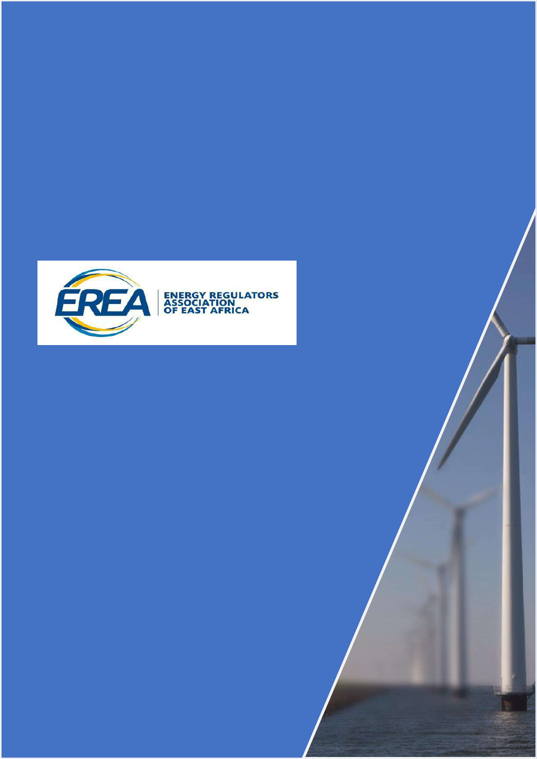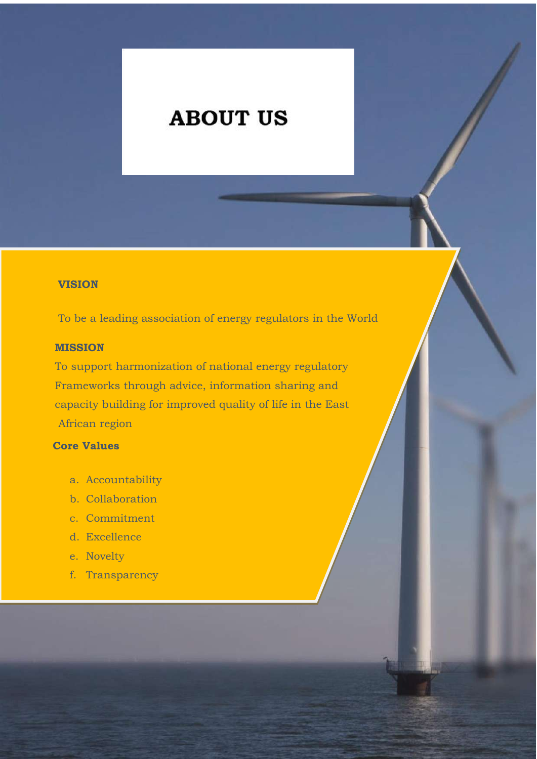## **high**‑**end,-full-service-firm-as-a-'cut-above everyone-else'-and-'the-best-in-town'.**

#### **VISION**

To be a leading association of energy regulators in the World

#### **MISSION**

To support harmonization of national energy regulatory Frameworks through advice, information sharing and capacity building for improved quality of life in the East African region

## **Core Values**

- a. Accountability
- b. Collaboration
- c. Commitment
- d. Excellence
- e. Novelty
- f. Transparency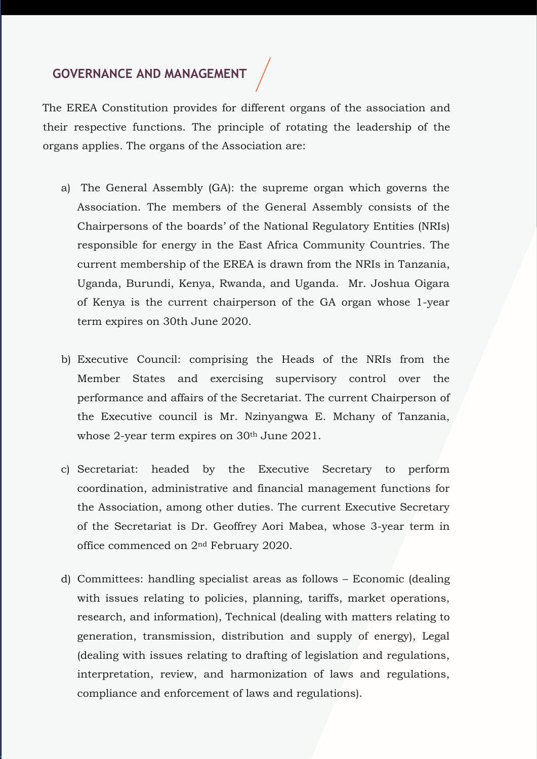# **- - GOVERNANCE AND MANAGEMENT**

their respective functions. The principle of rotating the leadership of the community for its commercial awareness and commitment to clients. We have a diverse and organs applies. The organs of the Association are: The EREA Constitution provides for different organs of the association and

The Energy Regulators Association of  $\Gamma$ 

- a) The General Assembly (GA): the supreme organ which governs the  $\bullet$  are client focused, rather than product focused. We will define that with our clients to anticipate to anticipate to anticipate to anticipate to anticipate to anticipate to anticipate to anticipate to anticipate to a Association. The inembers Chairpersons of the boards' of the National Regulatory Entities (NRIs) responsible for energy in the East Africa Community Countries. The  $\sim$  train our lawn from the NRIs in current membership of the EREA is drawn from the NRIs in not only a depth of legal expertise but also a breadth of experience and sound Uganda, Buru of Kenya is the current chairperson of the GA organ whose I Association. The members of the General Assembly consists of the b) Energy Petroleum Regulatory Authority (EPRA) of Kenya, c) Zanzibar Utility Regulatory Authority- of Zanzibar, d) Petroleum Authority of Uganda, Electricity Regulatory Authority responsible for energy in the East Africa Community Countries. The current membership of the EREA is drawn from the NRIs in Tanzania, Uganda, Burundi, Kenya, Rwanda, and Uganda. Mr. Joshua Oigara of Kenya is the current chairperson of the GA organ whose 1-year term expires on 30th June 2020.
- **A strong understanding of your key legal b**) executive council: co. University of the set of the Members States and A objectives, to enable our advice to be performance and al the Executive council is Mr. Nzinyangwa E. Mchany of  $\frac{1}{\sqrt{2}}$  we are  $\frac{1}{\sqrt{2}}$  and  $\frac{1}{\sqrt{2}}$  and  $\frac{1}{\sqrt{2}}$  and  $\frac{1}{\sqrt{2}}$  and  $\frac{1}{\sqrt{2}}$ whose  $\angle$  ye **A client focused approach**‑ we are client ig the freads of the *i*vide. If it satisfying the individual control dividual the individual to the individual terms of the induction of the indu<br>induction of the induction of the induction of the induction of the induction of the induction of the inductio each of our clients of our clients.  $20<sup>th</sup>$  Leve at  $0.001$ whose 2-year term expires on 30<sup>th</sup> June 2021. e) Rwanda Utilities Regulatory Authority (RURA) of Rwanda and a f) Authority for Regulation of Water and Energy Sectors (AREEN) of Burundi; g) The Petroleum Authority of Uganda (PAU), b) Executive Council: comprising the Heads of the NRIs from the Member States and exercising supervisory control over the performance and affairs of the Secretariat. The current Chairperson of the Executive council is Mr. Nzinyangwa E. Mchany of Tanzania,
- **Innovation**‑ we work on cutting edge c) secretariat: neaded by  $\alpha$ **Accomption** among of  $\epsilon$ ensure a consistent and provide a constant  $\epsilon$ of the Secretariat is Dr. **b** office commenced on  $2<sup>nd</sup>$ . areas of our legal service Electricity Authority (SSERA)., the EAC membership has continued to have an understated reputation for the mass of the set of the set of the set of the set of the set of the set o the Association, among other duties. The current Executive Secretary e legal advice **A-genuinely-global,-world-class-response** office commenced on 2<sup>nd</sup> February 2020. expand, and more entities have expressed interest in joining EREA. of the Secretariat is Dr. Geoffrey Aori Mabea, whose 3-year term in c) Secretariat: headed by the Executive Secretary to perform coordination, administrative and financial management functions for
- **A-flexible-approach-to-fees** ‑ we are well with issues relating to policies, planning, tariffs, market operations, the regard time. The right of the right time the regulation of the regulation of the regulation of the necessary regulation,  $\frac{1}{2}$ at excess on follows Formanic d  $\frac{1}{2}$  are not constrained by  $\frac{1}{2}$ promote a robust Energy Union; Facilitating the harmonization; Facilitating the harmonization of Energy Union; Facilitating the harmonization of Energy Union; Facilitating the harmonization of Energy Union; Facilitating t framework for the establishment of a power pool and competitive energy power power power power power power power power power power power power power power power power power power power power power power power power power market in each Member States. This mandate fits with the pillars well with the pillars of the pillars of the pillars of the pillars of the pillars of the pillars of the pillars of the pillars of the pillars of the pillars integration spears of  $\mathbb{R}^2$  africa  $\mathbb{R}^2$  africa  $\mathbb{R}^2$  africa  $\mathbb{R}^2$  and  $\mathbb{R}^2$  africa  $\mathbb{R}^2$  and  $\mathbb{R}^2$  africa  $\mathbb{R}^2$  and  $\mathbb{R}^2$  africa  $\mathbb{R}^2$  and  $\mathbb{R}^2$  and  $\mathbb{R}^2$  and entremched EREA as one of its primary energy for its primary energy for  $\mathbf{r}$ d) Committees: handling specialist areas as follows – Economic (dealing with issues relating to policies, planning, tariffs, market operations, research, and information), Technical (dealing with matters relating to generation, transmission, distribution and supply of energy), Legal (dealing with issues relating to drafting of legislation and regulations, interpretation, review, and harmonization of laws and regulations, compliance and enforcement of laws and regulations).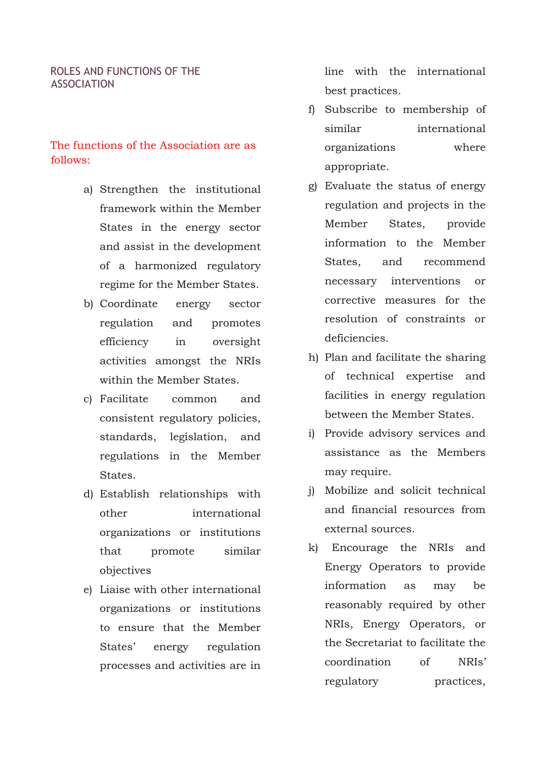#### ROLES AND FUNCTIONS OF THE ASSOCIATION

## The functions of the Association are as follows:

- a) Strengthen the institutional framework within the Member States in the energy sector and assist in the development of a harmonized regulatory regime for the Member States.
- b) Coordinate energy sector regulation and promotes efficiency in oversight activities amongst the NRIs within the Member States.
- c) Facilitate common and consistent regulatory policies, standards, legislation, and regulations in the Member States.
- d) Establish relationships with other international organizations or institutions that promote similar objectives
- e) Liaise with other international organizations or institutions to ensure that the Member States' energy regulation processes and activities are in

line with the international best practices.

- f) Subscribe to membership of similar international organizations where appropriate.
- g) Evaluate the status of energy regulation and projects in the Member States, provide information to the Member States, and recommend necessary interventions or corrective measures for the resolution of constraints or deficiencies.
- h) Plan and facilitate the sharing of technical expertise and facilities in energy regulation between the Member States.
- i) Provide advisory services and assistance as the Members may require.
- j) Mobilize and solicit technical and financial resources from external sources.
- k) Encourage the NRIs and Energy Operators to provide information as may be reasonably required by other NRIs, Energy Operators, or the Secretariat to facilitate the coordination of NRIs' regulatory practices,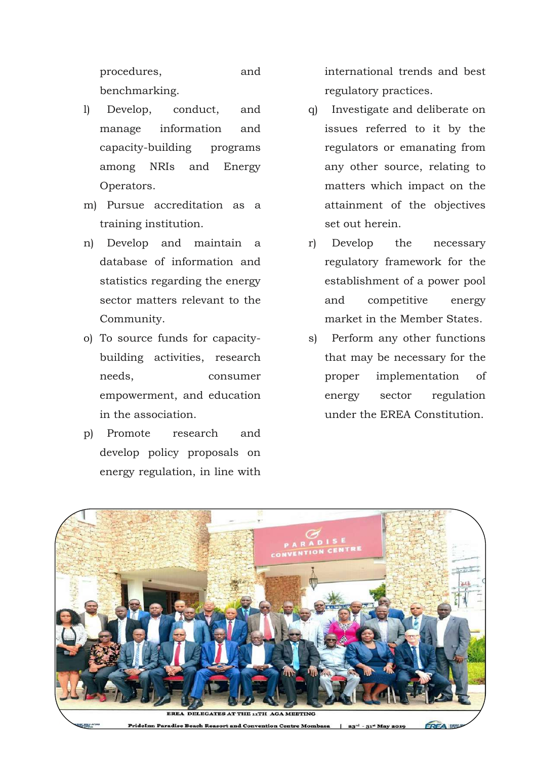procedures, and benchmarking.

- l) Develop, conduct, and manage information and capacity-building programs among NRIs and Energy Operators.
- m) Pursue accreditation as a training institution.
- n) Develop and maintain a database of information and statistics regarding the energy sector matters relevant to the Community.
- o) To source funds for capacitybuilding activities, research needs, consumer empowerment, and education in the association.
- p) Promote research and develop policy proposals on energy regulation, in line with

international trends and best regulatory practices.

- q) Investigate and deliberate on issues referred to it by the regulators or emanating from any other source, relating to matters which impact on the attainment of the objectives set out herein.
- r) Develop the necessary regulatory framework for the establishment of a power pool and competitive energy market in the Member States.
- s) Perform any other functions that may be necessary for the proper implementation of energy sector regulation under the EREA Constitution.

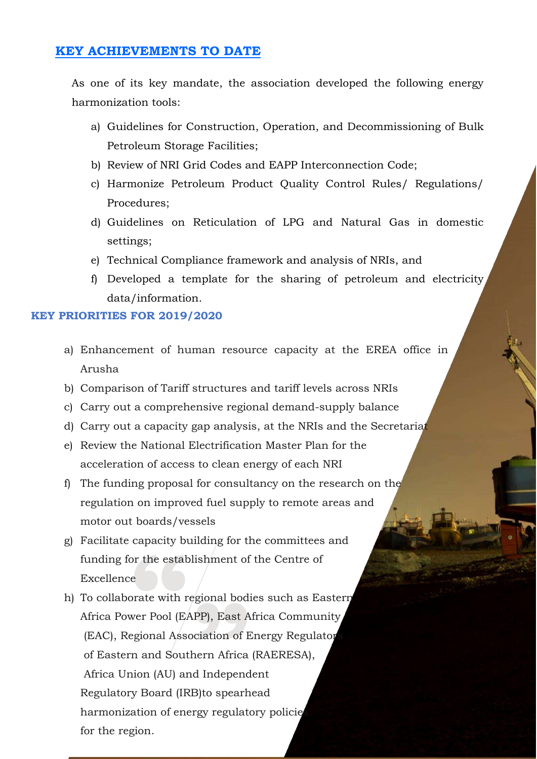## **KEY ACHIEVEMENTS TO DATE**

As one of its key mandate, the association developed the following energy harmonization tools:

- a) Guidelines for Construction, Operation, and Decommissioning of Bulk Petroleum Storage Facilities;
- b) Review of NRI Grid Codes and EAPP Interconnection Code;
- c) Harmonize Petroleum Product Quality Control Rules/ Regulations/ Procedures;
- d) Guidelines on Reticulation of LPG and Natural Gas in domestic settings;
- e) Technical Compliance framework and analysis of NRIs, and
- f) Developed a template for the sharing of petroleum and electricity data/information.

#### **KEY PRIORITIES FOR 2019/2020**

- a) Enhancement of human resource capacity at the EREA office in Arusha
- b) Comparison of Tariff structures and tariff levels across NRIs
- c) Carry out a comprehensive regional demand-supply balance
- d) Carry out a capacity gap analysis, at the NRIs and the Secretariat
- e) Review the National Electrification Master Plan for the acceleration of access to clean energy of each NRI
- f) The funding proposal for consultancy on the research on the regulation on improved fuel supply to remote areas and motor out boards/vessels
- g) Facilitate capacity building for the committees and funding for the establishment of the Centre of Excellence
- h) To collaborate with regional bodies such as Eastern Africa Power Pool (EAPP), East Africa Community (EAC), Regional Association of Energy Regulator of Eastern and Southern Africa (RAERESA), Africa Union (AU) and Independent Regulatory Board (IRB)to spearhead harmonization of energy regulatory policie for the region.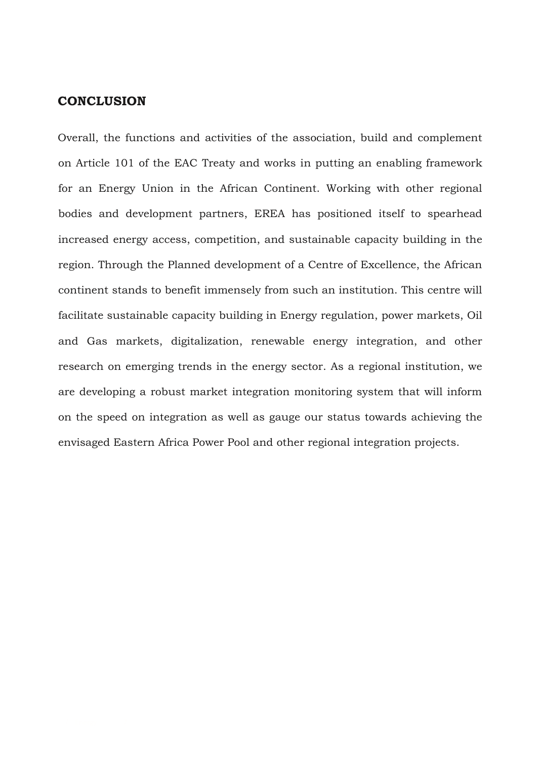### **CONCLUSION**

Overall, the functions and activities of the association, build and complement on Article 101 of the EAC Treaty and works in putting an enabling framework for an Energy Union in the African Continent. Working with other regional bodies and development partners, EREA has positioned itself to spearhead increased energy access, competition, and sustainable capacity building in the region. Through the Planned development of a Centre of Excellence, the African continent stands to benefit immensely from such an institution. This centre will facilitate sustainable capacity building in Energy regulation, power markets, Oil and Gas markets, digitalization, renewable energy integration, and other research on emerging trends in the energy sector. As a regional institution, we are developing a robust market integration monitoring system that will inform on the speed on integration as well as gauge our status towards achieving the envisaged Eastern Africa Power Pool and other regional integration projects.